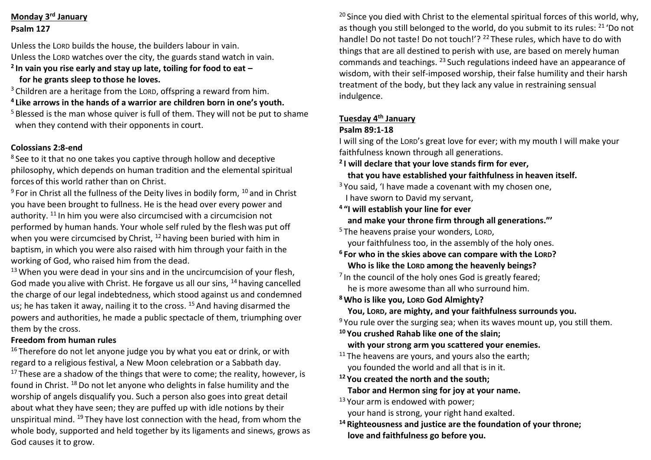### **Monday 3rd January Psalm 127**

Unless the LORD builds the house, the builders labour in vain. Unless the LORD watches over the city, the guards stand watch in vain. **2 In vain you rise early and stay up late, toiling for food to eat –**

 **for he grants sleep to those he loves.**

<sup>3</sup> Children are a heritage from the LORD, offspring a reward from him.

**4 Like arrows in the hands of a warrior are children born in one's youth.**

<sup>5</sup> Blessed is the man whose quiver is full of them. They will not be put to shame when they contend with their opponents in court.

### **Colossians 2:8-end**

<sup>8</sup> See to it that no one takes you captive through hollow and deceptive philosophy, which depends on human tradition and the elemental spiritual forces of this world rather than on Christ.

 $9$  For in Christ all the fullness of the Deity lives in bodily form,  $10$  and in Christ you have been brought to fullness. He is the head over every power and authority. <sup>11</sup> In him you were also circumcised with a circumcision not performed by human hands. Your whole self ruled by the flesh was put off when you were circumcised by Christ, <sup>12</sup> having been buried with him in baptism, in which you were also raised with him through your faith in the working of God, who raised him from the dead.

<sup>13</sup> When you were dead in your sins and in the uncircumcision of your flesh, God made you alive with Christ. He forgave us all our sins, <sup>14</sup> having cancelled the charge of our legal indebtedness, which stood against us and condemned us; he has taken it away, nailing it to the cross. <sup>15</sup> And having disarmed the powers and authorities, he made a public spectacle of them, triumphing over them by the cross.

### **Freedom from human rules**

 $16$  Therefore do not let anyone judge you by what you eat or drink, or with regard to a religious festival, a New Moon celebration or a Sabbath day.

 $17$  These are a shadow of the things that were to come; the reality, however, is found in Christ. <sup>18</sup> Do not let anyone who delights in false humility and the worship of angels disqualify you. Such a person also goes into great detail about what they have seen; they are puffed up with idle notions by their unspiritual mind. <sup>19</sup> They have lost connection with the head, from whom the whole body, supported and held together by its ligaments and sinews, grows as God causes it to grow.

<sup>20</sup> Since you died with Christ to the elemental spiritual forces of this world, why, as though you still belonged to the world, do you submit to its rules: <sup>21</sup> 'Do not handle! Do not taste! Do not touch!'? <sup>22</sup> These rules, which have to do with things that are all destined to perish with use, are based on merely human commands and teachings. <sup>23</sup> Such regulations indeed have an appearance of wisdom, with their self-imposed worship, their false humility and their harsh treatment of the body, but they lack any value in restraining sensual indulgence.

## **Tuesday 4th January**

## **Psalm 89:1-18**

I will sing of the LORD's great love for ever; with my mouth I will make your faithfulness known through all generations.

- **2 I will declare that your love stands firm for ever,**
- **that you have established your faithfulness in heaven itself.**
- $3$  You said, 'I have made a covenant with my chosen one,

I have sworn to David my servant,

- **4 "I will establish your line for ever and make your throne firm through all generations."'**
- <sup>5</sup> The heavens praise your wonders, LORD.

your faithfulness too, in the assembly of the holy ones.

- **<sup>6</sup> For who in the skies above can compare with the LORD? Who is like the LORD among the heavenly beings?**
- <sup>7</sup> In the council of the holy ones God is greatly feared; he is more awesome than all who surround him.
- **<sup>8</sup>Who is like you, LORD God Almighty?**
	- **You, LORD, are mighty, and your faithfulness surrounds you.**

<sup>9</sup> You rule over the surging sea; when its waves mount up, you still them.

- **<sup>10</sup> You crushed Rahab like one of the slain;**
	- **with your strong arm you scattered your enemies.**
- $11$  The heavens are yours, and yours also the earth; you founded the world and all that is in it.
- **<sup>12</sup> You created the north and the south; Tabor and Hermon sing for joy at your name.**
- <sup>13</sup> Your arm is endowed with power; your hand is strong, your right hand exalted.
- **<sup>14</sup> Righteousness and justice are the foundation of your throne; love and faithfulness go before you.**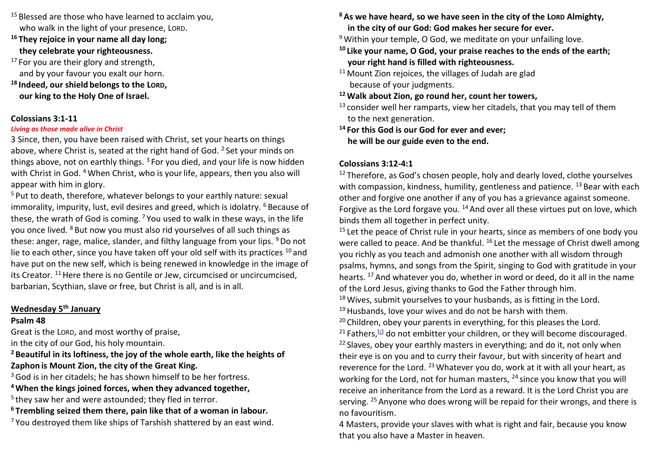- <sup>15</sup> Blessed are those who have learned to acclaim you, who walk in the light of your presence, LORD.
- **<sup>16</sup> They rejoice in your name all day long; they celebrate your righteousness.**
- $17$  For you are their glory and strength, and by your favour you exalt our horn. **<sup>18</sup> Indeed, our shield belongs to the LORD, our king to the Holy One of Israel.**

#### **Colossians 3:1-11**

#### *Living as those made alive in Christ*

3 Since, then, you have been raised with Christ, set your hearts on things above, where Christ is, seated at the right hand of God. <sup>2</sup> Set your minds on things above, not on earthly things.  $3$  For you died, and your life is now hidden with Christ in God. <sup>4</sup> When Christ, who is your life, appears, then you also will appear with him in glory.

<sup>5</sup> Put to death, therefore, whatever belongs to your earthly nature: sexual immorality, impurity, lust, evil desires and greed, which is idolatry. <sup>6</sup> Because of these, the wrath of God is coming.  $7$  You used to walk in these ways, in the life you once lived. <sup>8</sup> But now you must also rid yourselves of all such things as these: anger, rage, malice, slander, and filthy language from your lips. <sup>9</sup>Do not lie to each other, since you have taken off your old self with its practices  $10$  and have put on the new self, which is being renewed in knowledge in the image of its Creator. <sup>11</sup> Here there is no Gentile or Jew, circumcised or uncircumcised, barbarian, Scythian, slave or free, but Christ is all, and is in all.

### **Wednesday 5th January**

### **Psalm 48**

Great is the LORD, and most worthy of praise,

in the city of our God, his holy mountain.

### **<sup>2</sup> Beautiful in its loftiness, the joy of the whole earth, like the heights of Zaphon is Mount Zion, the city of the Great King.**

 $3$  God is in her citadels; he has shown himself to be her fortress.

**<sup>4</sup>When the kings joined forces, when they advanced together,**

<sup>5</sup> they saw her and were astounded; they fled in terror.

**<sup>6</sup> Trembling seized them there, pain like that of a woman in labour.**

 $7$  You destroyed them like ships of Tarshish shattered by an east wind.

- **<sup>8</sup>As we have heard, so we have seen in the city of the LORD Almighty, in the city of our God: God makes her secure for ever.**
- <sup>9</sup> Within your temple, O God, we meditate on your unfailing love.
- **<sup>10</sup> Like your name, O God, your praise reaches to the ends of the earth; your right hand is filled with righteousness.**
- <sup>11</sup> Mount Zion rejoices, the villages of Judah are glad because of your judgments.

## **<sup>12</sup>Walk about Zion, go round her, count her towers,**

 $13$  consider well her ramparts, view her citadels, that you may tell of them to the next generation.

**<sup>14</sup> For this God is our God for ever and ever; he will be our guide even to the end.**

## **Colossians 3:12-4:1**

 $12$  Therefore, as God's chosen people, holy and dearly loved, clothe yourselves with compassion, kindness, humility, gentleness and patience. <sup>13</sup> Bear with each other and forgive one another if any of you has a grievance against someone. Forgive as the Lord forgave you.  $14$  And over all these virtues put on love, which binds them all together in perfect unity.

<sup>15</sup> Let the peace of Christ rule in your hearts, since as members of one body you were called to peace. And be thankful. <sup>16</sup> Let the message of Christ dwell among you richly as you teach and admonish one another with all wisdom through psalms, hymns, and songs from the Spirit, singing to God with gratitude in your hearts. <sup>17</sup> And whatever you do, whether in word or deed, do it all in the name of the Lord Jesus, giving thanks to God the Father through him.

<sup>18</sup> Wives, submit yourselves to your husbands, as is fitting in the Lord.  $19$  Husbands, love your wives and do not be harsh with them.

<sup>20</sup> Children, obey your parents in everything, for this pleases the Lord. <sup>21</sup> Fathers,  $\left[\frac{c}{2}\right]$  do not embitter your children, or they will become discouraged.  $22$  Slaves, obey your earthly masters in everything; and do it, not only when their eye is on you and to curry their favour, but with sincerity of heart and reverence for the Lord. <sup>23</sup> Whatever you do, work at it with all your heart, as working for the Lord, not for human masters, <sup>24</sup> since you know that you will receive an inheritance from the Lord as a reward. It is the Lord Christ you are serving. <sup>25</sup> Anyone who does wrong will be repaid for their wrongs, and there is no favouritism.

4 Masters, provide your slaves with what is right and fair, because you know that you also have a Master in heaven.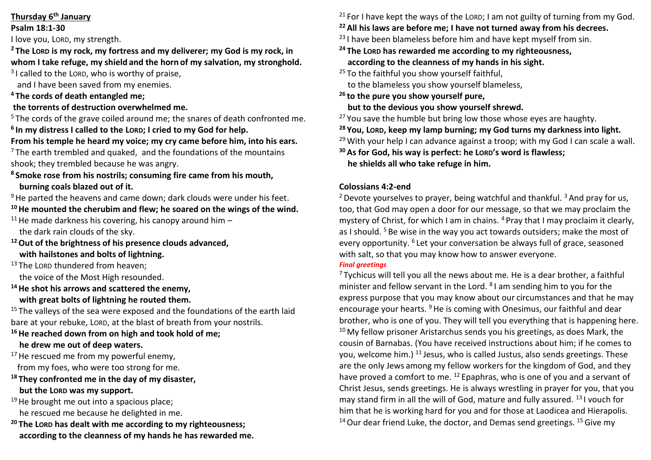### **Thursday 6th January**

### **Psalm 18:1-30**

I love you, LORD, my strength.

### **<sup>2</sup> The LORD is my rock, my fortress and my deliverer; my God is my rock, in whom I take refuge, my shield and the horn of my salvation, my stronghold.**

 $3$ I called to the LORD, who is worthy of praise,

and I have been saved from my enemies.

## **<sup>4</sup> The cords of death entangled me;**

## **the torrents of destruction overwhelmed me.**

<sup>5</sup> The cords of the grave coiled around me; the snares of death confronted me. **6 In my distress I called to the LORD; I cried to my God for help.**

## **From his temple he heard my voice; my cry came before him, into his ears.**

 $7$  The earth trembled and quaked, and the foundations of the mountains shook; they trembled because he was angry.

### **<sup>8</sup> Smoke rose from his nostrils; consuming fire came from his mouth, burning coals blazed out of it.**

 $9$  He parted the heavens and came down; dark clouds were under his feet.

## **<sup>10</sup>He mounted the cherubim and flew; he soared on the wings of the wind.**

<sup>11</sup> He made darkness his covering, his canopy around him  $$ the dark rain clouds of the sky.

- **<sup>12</sup>Out of the brightness of his presence clouds advanced, with hailstones and bolts of lightning.**
- <sup>13</sup> The LORD thundered from heaven: the voice of the Most High resounded.

**<sup>14</sup>He shot his arrows and scattered the enemy,**

## **with great bolts of lightning he routed them.**

 $15$  The valleys of the sea were exposed and the foundations of the earth laid bare at your rebuke, LORD, at the blast of breath from your nostrils.

# **<sup>16</sup>He reached down from on high and took hold of me;**

# **he drew me out of deep waters.**

 $17$  He rescued me from my powerful enemy, from my foes, who were too strong for me.

- **<sup>18</sup> They confronted me in the day of my disaster, but the LORD was my support.**
- $19$  He brought me out into a spacious place; he rescued me because he delighted in me.
- **<sup>20</sup> The LORD has dealt with me according to my righteousness; according to the cleanness of my hands he has rewarded me.**

<sup>21</sup> For I have kept the ways of the LORD; I am not guilty of turning from my God.

# **<sup>22</sup>All his laws are before me; I have not turned away from his decrees.**

 $23$  I have been blameless before him and have kept myself from sin.

## **<sup>24</sup> The LORD has rewarded me according to my righteousness, according to the cleanness of my hands in his sight.**

<sup>25</sup> To the faithful you show yourself faithful, to the blameless you show yourself blameless,

**<sup>26</sup> to the pure you show yourself pure,**

 **but to the devious you show yourself shrewd.**

 $27$  You save the humble but bring low those whose eyes are haughty.

- **<sup>28</sup> You, LORD, keep my lamp burning; my God turns my darkness into light.**
- <sup>29</sup> With your help I can advance against a troop; with my God I can scale a wall.
- **<sup>30</sup>As for God, his way is perfect: he LORD's word is flawless; he shields all who take refuge in him.**

## **Colossians 4:2-end**

<sup>2</sup> Devote yourselves to prayer, being watchful and thankful.  $3$  And pray for us, too, that God may open a door for our message, so that we may proclaim the mystery of Christ, for which I am in chains. <sup>4</sup> Pray that I may proclaim it clearly, as I should.  $5$  Be wise in the way you act towards outsiders; make the most of every opportunity. <sup>6</sup> Let your conversation be always full of grace, seasoned with salt, so that you may know how to answer everyone.

### *Final greetings*

 $7$  Tychicus will tell you all the news about me. He is a dear brother, a faithful minister and fellow servant in the Lord. <sup>8</sup>I am sending him to you for the express purpose that you may know about our circumstances and that he may encourage your hearts. <sup>9</sup> He is coming with Onesimus, our faithful and dear brother, who is one of you. They will tell you everything that is happening here. <sup>10</sup> My fellow prisoner Aristarchus sends you his greetings, as does Mark, the cousin of Barnabas. (You have received instructions about him; if he comes to you, welcome him.) <sup>11</sup> Jesus, who is called Justus, also sends greetings. These are the only Jews among my fellow workers for the kingdom of God, and they have proved a comfort to me. <sup>12</sup> Epaphras, who is one of you and a servant of Christ Jesus, sends greetings. He is always wrestling in prayer for you, that you may stand firm in all the will of God, mature and fully assured. <sup>13</sup> I vouch for him that he is working hard for you and for those at Laodicea and Hierapolis. <sup>14</sup> Our dear friend Luke, the doctor, and Demas send greetings. <sup>15</sup> Give my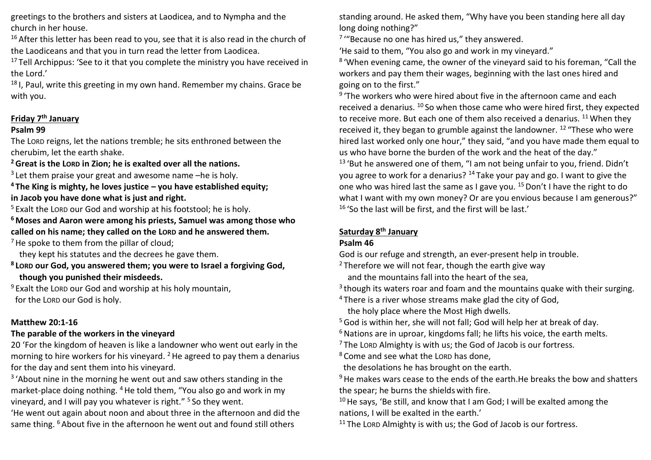greetings to the brothers and sisters at Laodicea, and to Nympha and the church in her house.

 $16$  After this letter has been read to you, see that it is also read in the church of the Laodiceans and that you in turn read the letter from Laodicea.

 $17$  Tell Archippus: 'See to it that you complete the ministry you have received in the Lord.'

<sup>18</sup> I, Paul, write this greeting in my own hand. Remember my chains. Grace be with you.

### **Friday 7th January**

### **Psalm 99**

The LORD reigns, let the nations tremble; he sits enthroned between the cherubim, let the earth shake.

**<sup>2</sup>Great is the LORD in Zion; he is exalted over all the nations.**

3 Let them praise your great and awesome name –he is holy.

**<sup>4</sup> The King is mighty, he loves justice – you have established equity; in Jacob you have done what is just and right.**

 $5$  Exalt the LORD our God and worship at his footstool; he is holy.

**<sup>6</sup> Moses and Aaron were among his priests, Samuel was among those who called on his name; they called on the LORD and he answered them.**

 $<sup>7</sup>$  He spoke to them from the pillar of cloud;</sup>

they kept his statutes and the decrees he gave them.

**8 LORD our God, you answered them; you were to Israel a forgiving God, though you punished their misdeeds.**

 $9$  Exalt the LORD our God and worship at his holy mountain, for the LORD our God is holy.

### **Matthew 20:1-16**

### **The parable of the workers in the vineyard**

20 'For the kingdom of heaven is like a landowner who went out early in the morning to hire workers for his vineyard.  $2$  He agreed to pay them a denarius for the day and sent them into his vineyard.

<sup>3</sup> 'About nine in the morning he went out and saw others standing in the market-place doing nothing. <sup>4</sup>He told them, "You also go and work in my vineyard, and I will pay you whatever is right." <sup>5</sup> So they went.

'He went out again about noon and about three in the afternoon and did the same thing. <sup>6</sup> About five in the afternoon he went out and found still others

standing around. He asked them, "Why have you been standing here all day long doing nothing?"

<sup>7</sup> "Because no one has hired us," they answered.

'He said to them, "You also go and work in my vineyard."

8 'When evening came, the owner of the vineyard said to his foreman, "Call the workers and pay them their wages, beginning with the last ones hired and going on to the first."

<sup>9</sup> 'The workers who were hired about five in the afternoon came and each received a denarius. <sup>10</sup> So when those came who were hired first, they expected to receive more. But each one of them also received a denarius. <sup>11</sup> When they received it, they began to grumble against the landowner. <sup>12</sup> "These who were hired last worked only one hour," they said, "and you have made them equal to us who have borne the burden of the work and the heat of the day."

<sup>13</sup> 'But he answered one of them, "I am not being unfair to you, friend. Didn't you agree to work for a denarius? <sup>14</sup> Take your pay and go. I want to give the one who was hired last the same as I gave you. <sup>15</sup> Don't I have the right to do what I want with my own money? Or are you envious because I am generous?"  $16$  'So the last will be first, and the first will be last.'

## **Saturday 8th January**

### **Psalm 46**

God is our refuge and strength, an ever-present help in trouble.

 $2$  Therefore we will not fear, though the earth give way and the mountains fall into the heart of the sea,

 $3$  though its waters roar and foam and the mountains quake with their surging.

<sup>4</sup> There is a river whose streams make glad the city of God, the holy place where the Most High dwells.

<sup>5</sup> God is within her, she will not fall; God will help her at break of day.

 $6$  Nations are in uproar, kingdoms fall; he lifts his voice, the earth melts.

 $7$  The LORD Almighty is with us; the God of Jacob is our fortress.

<sup>8</sup> Come and see what the LORD has done,

the desolations he has brought on the earth.

<sup>9</sup> He makes wars cease to the ends of the earth.He breaks the bow and shatters the spear; he burns the shields with fire.

 $10$  He says, 'Be still, and know that I am God; I will be exalted among the nations, I will be exalted in the earth.'

 $11$  The LORD Almighty is with us; the God of Jacob is our fortress.